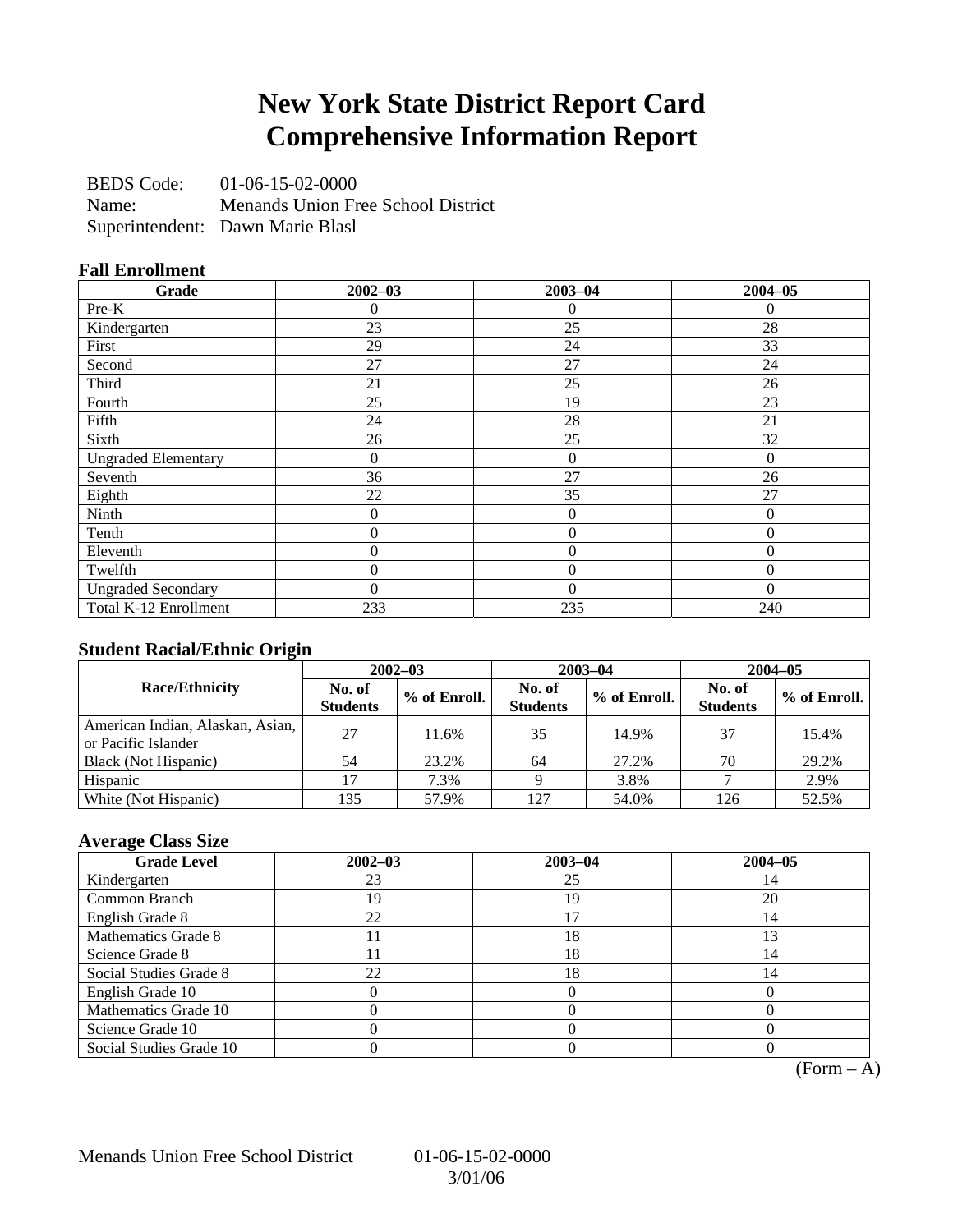## **New York State District Report Card Comprehensive Information Report**

BEDS Code: 01-06-15-02-0000 Name: Menands Union Free School District Superintendent: Dawn Marie Blasl

### **Fall Enrollment**

| Grade                      | $2002 - 03$      | $2003 - 04$    | $2004 - 05$ |
|----------------------------|------------------|----------------|-------------|
| Pre-K                      | 0                | $\Omega$       | 0           |
| Kindergarten               | 23               | 25             | 28          |
| First                      | 29               | 24             | 33          |
| Second                     | 27               | 27             | 24          |
| Third                      | 21               | 25             | 26          |
| Fourth                     | 25               | 19             | 23          |
| Fifth                      | 24               | 28             | 21          |
| Sixth                      | 26               | 25             | 32          |
| <b>Ungraded Elementary</b> | $\theta$         | $\theta$       | $\Omega$    |
| Seventh                    | 36               | 27             | 26          |
| Eighth                     | 22               | 35             | 27          |
| Ninth                      | $\boldsymbol{0}$ | $\overline{0}$ | $\Omega$    |
| Tenth                      | $\overline{0}$   | $\overline{0}$ | $\Omega$    |
| Eleventh                   | $\theta$         | $\theta$       | $\Omega$    |
| Twelfth                    | $\theta$         | $\overline{0}$ | $\Omega$    |
| <b>Ungraded Secondary</b>  | 0                | $\Omega$       | $\Omega$    |
| Total K-12 Enrollment      | 233              | 235            | 240         |

### **Student Racial/Ethnic Origin**

|                                                         | $2002 - 03$               |              | $2003 - 04$               |              | $2004 - 05$               |              |
|---------------------------------------------------------|---------------------------|--------------|---------------------------|--------------|---------------------------|--------------|
| <b>Race/Ethnicity</b>                                   | No. of<br><b>Students</b> | % of Enroll. | No. of<br><b>Students</b> | % of Enroll. | No. of<br><b>Students</b> | % of Enroll. |
| American Indian, Alaskan, Asian,<br>or Pacific Islander | 27                        | 11.6%        | 35                        | 14.9%        | 37                        | 15.4%        |
| Black (Not Hispanic)                                    | 54                        | 23.2%        | 64                        | 27.2%        | 70                        | 29.2%        |
| Hispanic                                                |                           | 7.3%         |                           | 3.8%         |                           | 2.9%         |
| White (Not Hispanic)                                    | 135                       | 57.9%        | 127                       | 54.0%        | 126                       | 52.5%        |

## **Average Class Size**

| <b>Grade Level</b>      | $2002 - 03$ | $2003 - 04$ | $2004 - 05$ |
|-------------------------|-------------|-------------|-------------|
| Kindergarten            | 23          | 25          | 14          |
| Common Branch           | 19          | 19          | 20          |
| English Grade 8         | 22          |             | 14          |
| Mathematics Grade 8     |             | 18          |             |
| Science Grade 8         |             | 18          |             |
| Social Studies Grade 8  | 22          | 18          | 14          |
| English Grade 10        |             |             |             |
| Mathematics Grade 10    |             |             |             |
| Science Grade 10        |             |             |             |
| Social Studies Grade 10 |             |             |             |

 $(Form - A)$ 

Menands Union Free School District 01-06-15-02-0000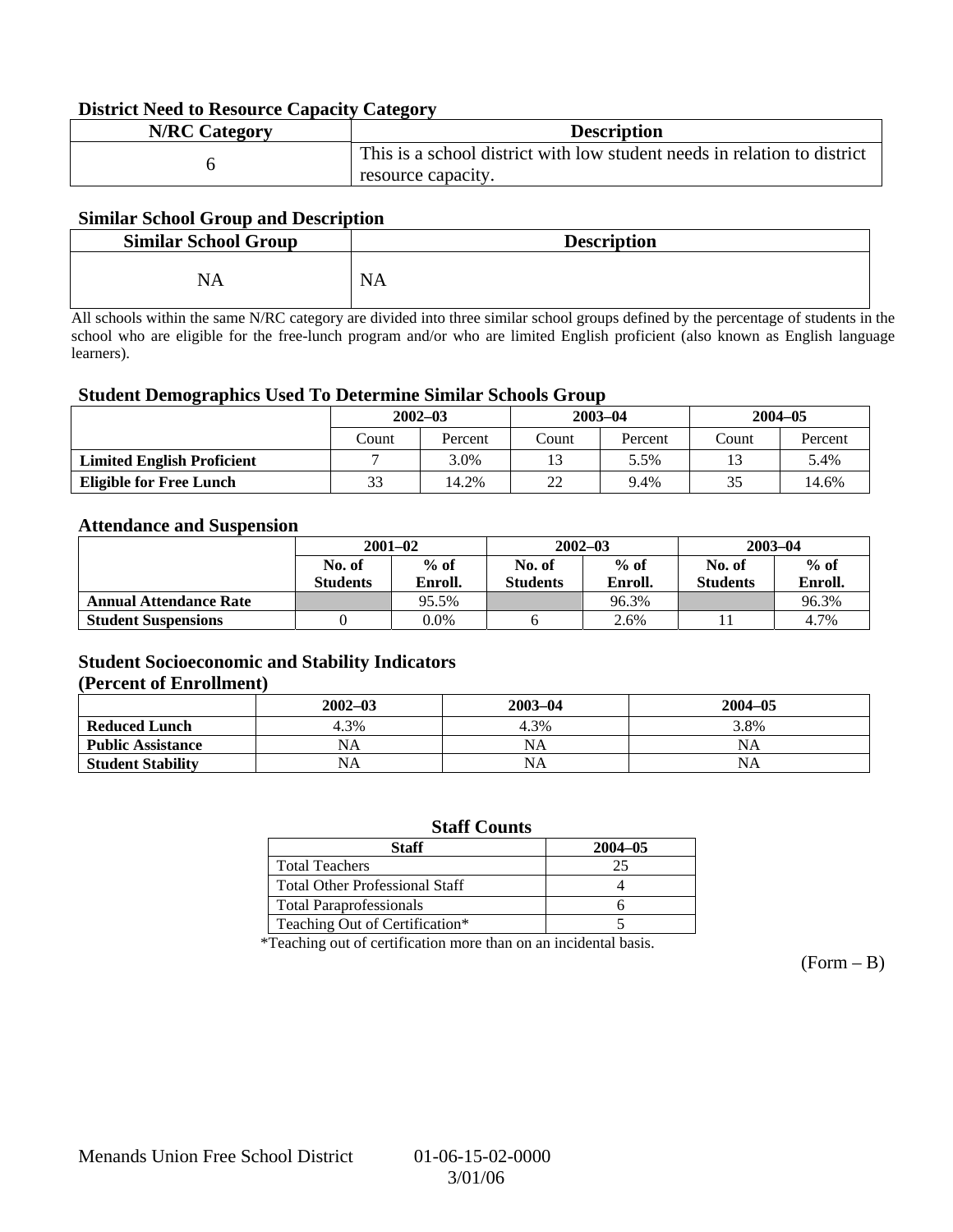### **District Need to Resource Capacity Category**

| <b>N/RC</b> Category | <b>Description</b>                                                       |
|----------------------|--------------------------------------------------------------------------|
|                      | This is a school district with low student needs in relation to district |
|                      | resource capacity.                                                       |

### **Similar School Group and Description**

| <b>Similar School Group</b> | <b>Description</b> |
|-----------------------------|--------------------|
| NA                          | <b>NA</b>          |

All schools within the same N/RC category are divided into three similar school groups defined by the percentage of students in the school who are eligible for the free-lunch program and/or who are limited English proficient (also known as English language learners).

#### **Student Demographics Used To Determine Similar Schools Group**

|                                   | $2002 - 03$ |         | $2003 - 04$ |         | $2004 - 05$ |         |
|-----------------------------------|-------------|---------|-------------|---------|-------------|---------|
|                                   | Count       | Percent | Count       | Percent | Count       | Percent |
| <b>Limited English Proficient</b> |             | 3.0%    |             | 5.5%    |             | 5.4%    |
| <b>Eligible for Free Lunch</b>    | 33          | 14.2%   | າາ          | 9.4%    | 35          | 14.6%   |

#### **Attendance and Suspension**

|                               | $2001 - 02$     |         | $2002 - 03$     |         | $2003 - 04$     |         |
|-------------------------------|-----------------|---------|-----------------|---------|-----------------|---------|
|                               | No. of          | $%$ of  | No. of          | $%$ of  | No. of          | $%$ of  |
|                               | <b>Students</b> | Enroll. | <b>Students</b> | Enroll. | <b>Students</b> | Enroll. |
| <b>Annual Attendance Rate</b> |                 | 95.5%   |                 | 96.3%   |                 | 96.3%   |
| <b>Student Suspensions</b>    |                 | 0.0%    |                 | 2.6%    |                 | 4.7%    |

### **Student Socioeconomic and Stability Indicators (Percent of Enrollment)**

|                          | $2002 - 03$ | 2003-04   | $2004 - 05$ |
|--------------------------|-------------|-----------|-------------|
| <b>Reduced Lunch</b>     | 4.3%        | 4.3%      | 3.8%        |
| <b>Public Assistance</b> | NA          | NA        | NA          |
| <b>Student Stability</b> | NA          | <b>NA</b> | NA          |

#### **Staff Counts**

| Staff                                 | $2004 - 05$ |
|---------------------------------------|-------------|
| <b>Total Teachers</b>                 |             |
| <b>Total Other Professional Staff</b> |             |
| <b>Total Paraprofessionals</b>        |             |
| Teaching Out of Certification*        |             |

\*Teaching out of certification more than on an incidental basis.

 $(Form - B)$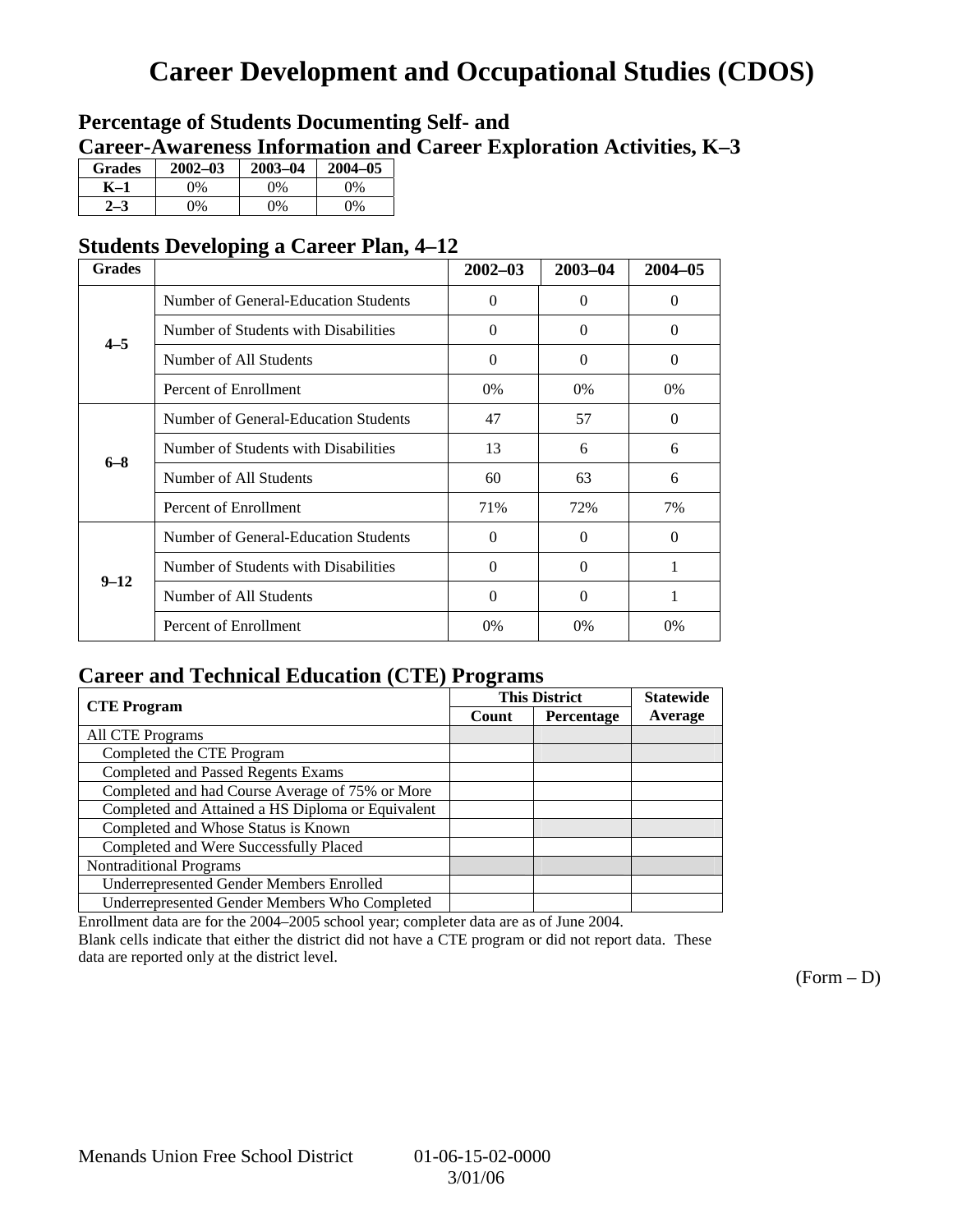# **Career Development and Occupational Studies (CDOS)**

## **Percentage of Students Documenting Self- and Career-Awareness Information and Career Exploration Activities, K–3**

| <b>Grades</b> | $2002 - 03$ | $2003 - 04$ | $2004 - 05$ |
|---------------|-------------|-------------|-------------|
| K–1           | 9%          | $0\%$       | 0%          |
| $2 - 3$       | 9%          | 0%          | 0%          |

## **Students Developing a Career Plan, 4–12**

| <b>Grades</b> | o                                    | $2002 - 03$ | $2003 - 04$       | $2004 - 05$ |
|---------------|--------------------------------------|-------------|-------------------|-------------|
|               | Number of General-Education Students | $\Omega$    | $\mathbf{\Omega}$ | $\Omega$    |
| $4 - 5$       | Number of Students with Disabilities | $\theta$    | 0                 | $\Omega$    |
|               | Number of All Students               | $\theta$    | $\Omega$          | $\Omega$    |
|               | Percent of Enrollment                | $0\%$       | $0\%$             | 0%          |
| $6 - 8$       | Number of General-Education Students | 47          | 57                | $\Omega$    |
|               | Number of Students with Disabilities | 13          | 6                 | 6           |
|               | Number of All Students               | 60          | 63                | 6           |
|               | Percent of Enrollment                | 71%         | 72%               | 7%          |
|               | Number of General-Education Students | $\Omega$    | $\Omega$          | $\Omega$    |
| $9 - 12$      | Number of Students with Disabilities | $\theta$    | $\theta$          | 1           |
|               | Number of All Students               | $\theta$    | 0                 |             |
|               | Percent of Enrollment                | 0%          | 0%                | 0%          |

## **Career and Technical Education (CTE) Programs**

|                                                   |       | <b>This District</b> |         |
|---------------------------------------------------|-------|----------------------|---------|
| <b>CTE</b> Program                                | Count | Percentage           | Average |
| <b>All CTE Programs</b>                           |       |                      |         |
| Completed the CTE Program                         |       |                      |         |
| <b>Completed and Passed Regents Exams</b>         |       |                      |         |
| Completed and had Course Average of 75% or More   |       |                      |         |
| Completed and Attained a HS Diploma or Equivalent |       |                      |         |
| Completed and Whose Status is Known               |       |                      |         |
| Completed and Were Successfully Placed            |       |                      |         |
| <b>Nontraditional Programs</b>                    |       |                      |         |
| <b>Underrepresented Gender Members Enrolled</b>   |       |                      |         |
| Underrepresented Gender Members Who Completed     |       |                      |         |

Enrollment data are for the 2004–2005 school year; completer data are as of June 2004.

Blank cells indicate that either the district did not have a CTE program or did not report data. These data are reported only at the district level.

 $(Form - D)$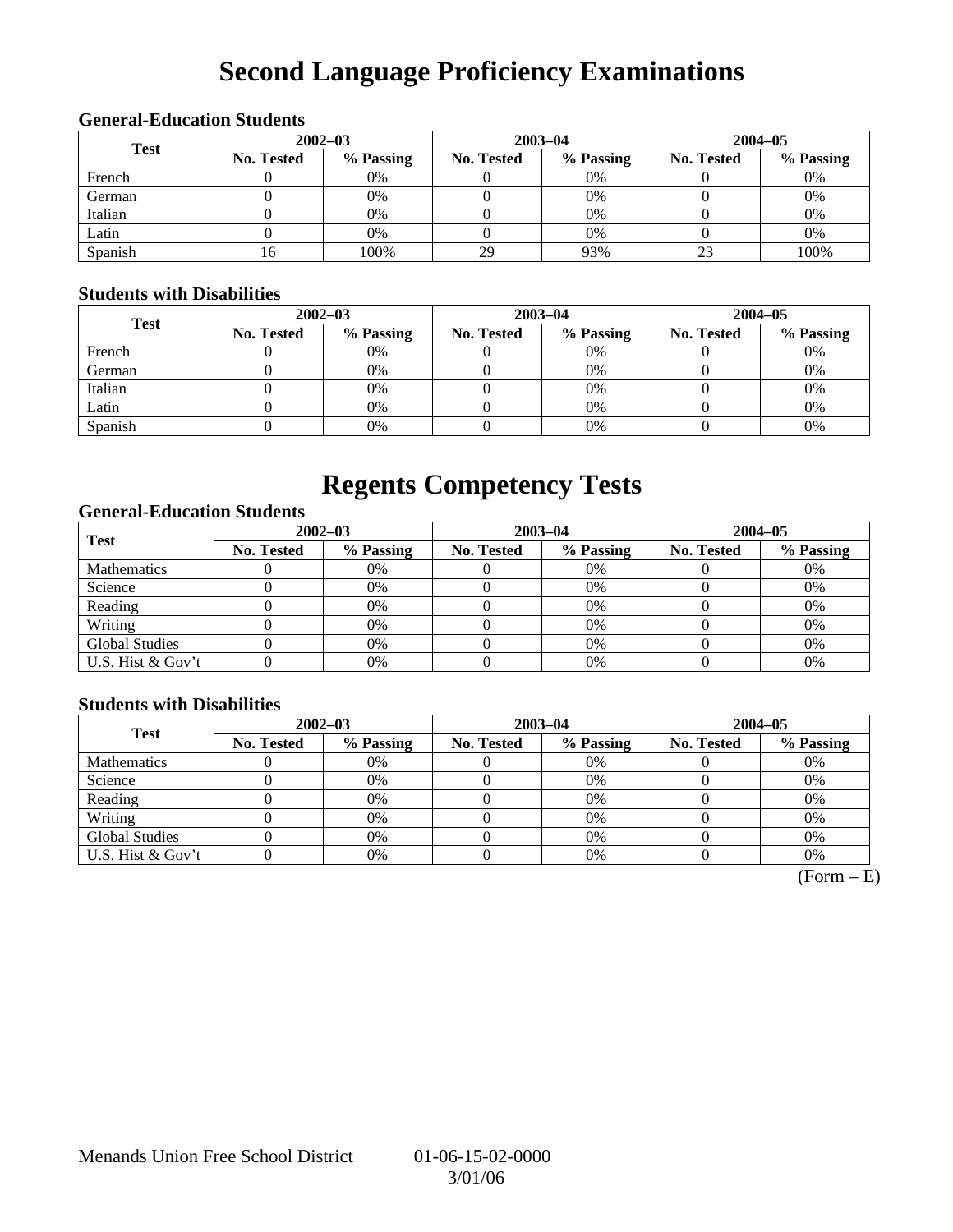# **Second Language Proficiency Examinations**

## **General-Education Students**

| <b>Test</b> |                   | $2002 - 03$ |                   | $2003 - 04$ | $2004 - 05$       |           |  |
|-------------|-------------------|-------------|-------------------|-------------|-------------------|-----------|--|
|             | <b>No. Tested</b> | % Passing   | <b>No. Tested</b> | % Passing   | <b>No. Tested</b> | % Passing |  |
| French      |                   | 0%          |                   | $0\%$       |                   | 0%        |  |
| German      |                   | 0%          |                   | $0\%$       |                   | 0%        |  |
| Italian     |                   | 0%          |                   | 0%          |                   | 0%        |  |
| Latin       |                   | 0%          |                   | $0\%$       |                   | 0%        |  |
| Spanish     | 16.               | 100%        | 29                | 93%         |                   | 100%      |  |

### **Students with Disabilities**

| <b>Test</b> |            | $2002 - 03$ |            | $2003 - 04$ | $2004 - 05$       |           |  |
|-------------|------------|-------------|------------|-------------|-------------------|-----------|--|
|             | No. Tested | % Passing   | No. Tested | % Passing   | <b>No. Tested</b> | % Passing |  |
| French      |            | 0%          |            | $0\%$       |                   | 0%        |  |
| German      |            | 0%          |            | $0\%$       |                   | 0%        |  |
| Italian     |            | 0%          |            | $0\%$       |                   | 0%        |  |
| Latin       |            | 0%          |            | $0\%$       |                   | 0%        |  |
| Spanish     |            | 0%          |            | 0%          |                   | 0%        |  |

## **Regents Competency Tests**

### **General-Education Students**

| <b>Test</b>           | $2002 - 03$       |           |                   | $2003 - 04$ | $2004 - 05$ |           |  |
|-----------------------|-------------------|-----------|-------------------|-------------|-------------|-----------|--|
|                       | <b>No. Tested</b> | % Passing | <b>No. Tested</b> | % Passing   | No. Tested  | % Passing |  |
| <b>Mathematics</b>    |                   | 0%        |                   | 0%          |             | 0%        |  |
| Science               |                   | 0%        |                   | 0%          |             | 0%        |  |
| Reading               |                   | 0%        |                   | $0\%$       |             | 0%        |  |
| Writing               |                   | 0%        |                   | 0%          |             | 0%        |  |
| <b>Global Studies</b> |                   | 0%        |                   | 0%          |             | 0%        |  |
| U.S. Hist & Gov't     |                   | 0%        |                   | 0%          |             | 0%        |  |

### **Students with Disabilities**

| <b>Test</b>           | $2002 - 03$       |           |            | $2003 - 04$ | $2004 - 05$ |           |  |
|-----------------------|-------------------|-----------|------------|-------------|-------------|-----------|--|
|                       | <b>No. Tested</b> | % Passing | No. Tested | % Passing   | No. Tested  | % Passing |  |
| <b>Mathematics</b>    |                   | 0%        |            | 0%          |             | 0%        |  |
| Science               |                   | 0%        |            | 0%          |             | 0%        |  |
| Reading               |                   | 0%        |            | 0%          |             | 0%        |  |
| Writing               |                   | 0%        |            | 0%          |             | 0%        |  |
| <b>Global Studies</b> |                   | 0%        |            | 0%          |             | 0%        |  |
| U.S. Hist & Gov't     |                   | 0%        |            | 0%          |             | 0%        |  |

 $(Form - E)$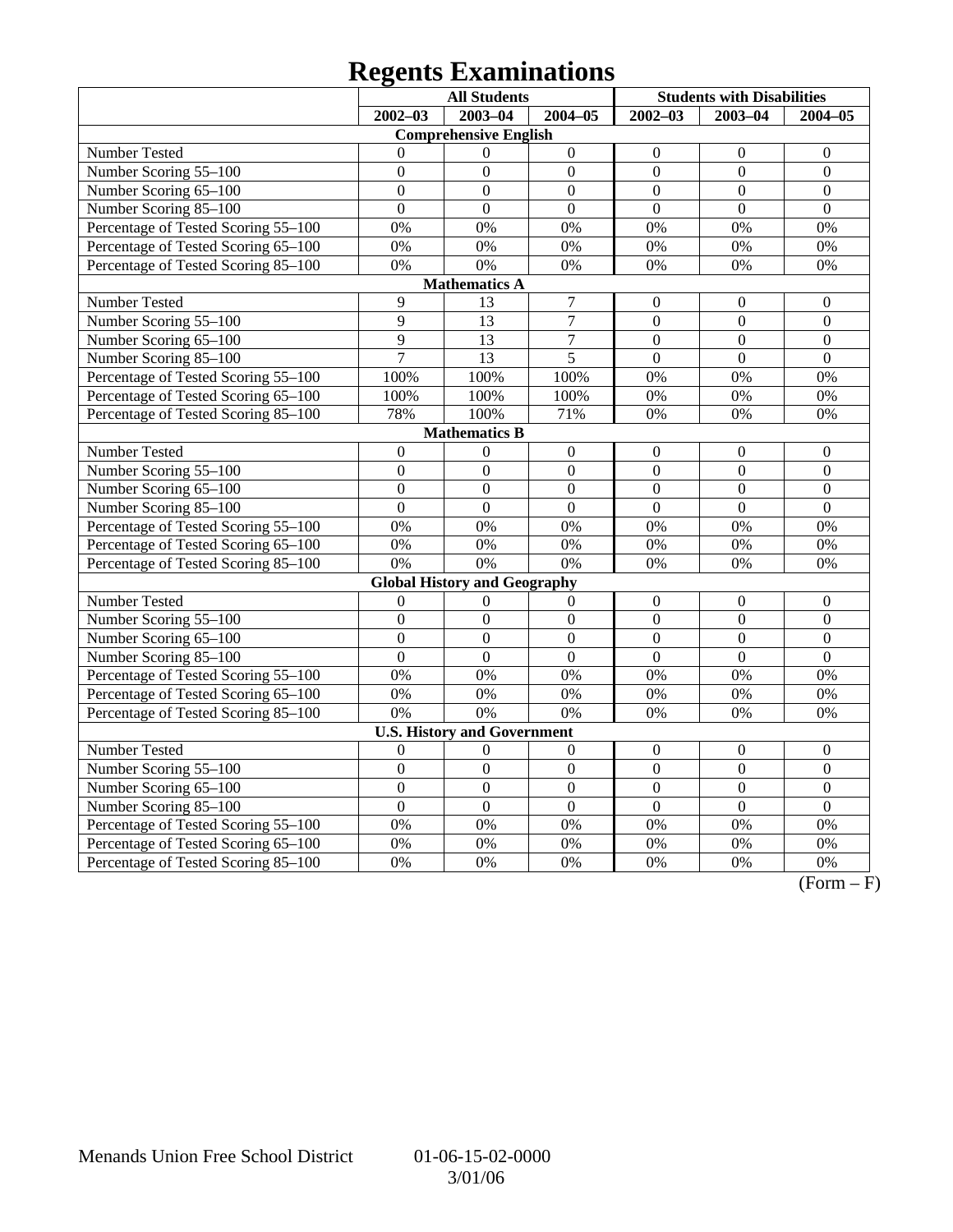# **Regents Examinations**

|                                     | <b>All Students</b> |                                     |                  |                  | <b>Students with Disabilities</b> |                  |  |  |  |  |
|-------------------------------------|---------------------|-------------------------------------|------------------|------------------|-----------------------------------|------------------|--|--|--|--|
|                                     | $2002 - 03$         | $2003 - 04$                         | $2004 - 05$      | $2002 - 03$      | $2003 - 04$                       | $2004 - 05$      |  |  |  |  |
|                                     |                     | <b>Comprehensive English</b>        |                  |                  |                                   |                  |  |  |  |  |
| Number Tested                       | $\Omega$            | $\theta$                            | $\boldsymbol{0}$ | $\boldsymbol{0}$ | $\boldsymbol{0}$                  | $\mathbf{0}$     |  |  |  |  |
| Number Scoring 55-100               | $\theta$            | $\theta$                            | $\overline{0}$   | $\overline{0}$   | $\overline{0}$                    | $\overline{0}$   |  |  |  |  |
| Number Scoring 65-100               | $\overline{0}$      | $\overline{0}$                      | $\overline{0}$   | $\overline{0}$   | $\overline{0}$                    | $\overline{0}$   |  |  |  |  |
| Number Scoring 85-100               | $\overline{0}$      | $\overline{0}$                      | $\overline{0}$   | $\overline{0}$   | $\overline{0}$                    | $\overline{0}$   |  |  |  |  |
| Percentage of Tested Scoring 55-100 | 0%                  | 0%                                  | 0%               | 0%               | 0%                                | 0%               |  |  |  |  |
| Percentage of Tested Scoring 65-100 | 0%                  | 0%                                  | 0%               | 0%               | 0%                                | 0%               |  |  |  |  |
| Percentage of Tested Scoring 85-100 | 0%                  | 0%                                  | 0%               | 0%               | 0%                                | 0%               |  |  |  |  |
| <b>Mathematics A</b>                |                     |                                     |                  |                  |                                   |                  |  |  |  |  |
| Number Tested                       | $\overline{9}$      | 13                                  | $\tau$           | $\boldsymbol{0}$ | $\mathbf{0}$                      | $\mathbf{0}$     |  |  |  |  |
| Number Scoring 55-100               | $\overline{9}$      | $\overline{13}$                     | $\overline{7}$   | $\overline{0}$   | $\mathbf{0}$                      | $\overline{0}$   |  |  |  |  |
| Number Scoring 65-100               | $\overline{9}$      | $\overline{13}$                     | $\overline{7}$   | $\overline{0}$   | $\overline{0}$                    | $\overline{0}$   |  |  |  |  |
| Number Scoring 85-100               | $\overline{7}$      | 13                                  | $\overline{5}$   | $\overline{0}$   | $\overline{0}$                    | $\overline{0}$   |  |  |  |  |
| Percentage of Tested Scoring 55-100 | 100%                | 100%                                | 100%             | 0%               | 0%                                | 0%               |  |  |  |  |
| Percentage of Tested Scoring 65-100 | 100%                | 100%                                | 100%             | 0%               | 0%                                | 0%               |  |  |  |  |
| Percentage of Tested Scoring 85-100 | 78%                 | 100%                                | 71%              | 0%               | 0%                                | 0%               |  |  |  |  |
| <b>Mathematics B</b>                |                     |                                     |                  |                  |                                   |                  |  |  |  |  |
| Number Tested                       | $\boldsymbol{0}$    | $\mathbf{0}$                        | $\boldsymbol{0}$ | $\mathbf{0}$     | $\overline{0}$                    | $\boldsymbol{0}$ |  |  |  |  |
| Number Scoring 55-100               | $\overline{0}$      | $\overline{0}$                      | $\overline{0}$   | $\overline{0}$   | $\overline{0}$                    | $\boldsymbol{0}$ |  |  |  |  |
| Number Scoring 65-100               | $\mathbf{0}$        | $\boldsymbol{0}$                    | $\mathbf{0}$     | $\boldsymbol{0}$ | $\mathbf{0}$                      | $\boldsymbol{0}$ |  |  |  |  |
| Number Scoring 85-100               | $\overline{0}$      | $\overline{0}$                      | $\overline{0}$   | $\overline{0}$   | $\overline{0}$                    | $\overline{0}$   |  |  |  |  |
| Percentage of Tested Scoring 55-100 | 0%                  | 0%                                  | 0%               | 0%               | 0%                                | 0%               |  |  |  |  |
| Percentage of Tested Scoring 65-100 | $0\%$               | $\overline{0\%}$                    | 0%               | 0%               | 0%                                | 0%               |  |  |  |  |
| Percentage of Tested Scoring 85-100 | 0%                  | 0%                                  | 0%               | 0%               | 0%                                | 0%               |  |  |  |  |
|                                     |                     | <b>Global History and Geography</b> |                  |                  |                                   |                  |  |  |  |  |
| Number Tested                       | $\overline{0}$      | $\Omega$                            | $\mathbf{0}$     | $\boldsymbol{0}$ | $\boldsymbol{0}$                  | $\boldsymbol{0}$ |  |  |  |  |
| Number Scoring 55-100               | $\boldsymbol{0}$    | $\boldsymbol{0}$                    | $\boldsymbol{0}$ | $\boldsymbol{0}$ | $\boldsymbol{0}$                  | $\boldsymbol{0}$ |  |  |  |  |
| Number Scoring 65-100               | $\overline{0}$      | $\overline{0}$                      | $\overline{0}$   | $\overline{0}$   | $\overline{0}$                    | $\overline{0}$   |  |  |  |  |
| Number Scoring 85-100               | $\overline{0}$      | $\overline{0}$                      | $\overline{0}$   | $\overline{0}$   | $\overline{0}$                    | $\overline{0}$   |  |  |  |  |
| Percentage of Tested Scoring 55-100 | 0%                  | $\overline{0\%}$                    | $\overline{0\%}$ | $\overline{0\%}$ | 0%                                | $\overline{0\%}$ |  |  |  |  |
| Percentage of Tested Scoring 65-100 | 0%                  | 0%                                  | 0%               | 0%               | 0%                                | 0%               |  |  |  |  |
| Percentage of Tested Scoring 85-100 | 0%                  | 0%                                  | 0%               | 0%               | 0%                                | 0%               |  |  |  |  |
|                                     |                     | <b>U.S. History and Government</b>  |                  |                  |                                   |                  |  |  |  |  |
| Number Tested                       | $\theta$            | $\theta$                            | $\overline{0}$   | $\boldsymbol{0}$ | $\mathbf{0}$                      | $\mathbf{0}$     |  |  |  |  |
| Number Scoring 55-100               | $\overline{0}$      | $\overline{0}$                      | $\overline{0}$   | $\overline{0}$   | $\overline{0}$                    | $\overline{0}$   |  |  |  |  |
| Number Scoring 65-100               | $\overline{0}$      | $\overline{0}$                      | $\overline{0}$   | $\boldsymbol{0}$ | $\mathbf{0}$                      | $\mathbf{0}$     |  |  |  |  |
| Number Scoring 85-100               | $\overline{0}$      | $\overline{0}$                      | $\overline{0}$   | $\overline{0}$   | $\overline{0}$                    | $\overline{0}$   |  |  |  |  |
| Percentage of Tested Scoring 55-100 | 0%                  | 0%                                  | 0%               | 0%               | $\overline{0\%}$                  | 0%               |  |  |  |  |
| Percentage of Tested Scoring 65-100 | 0%                  | 0%                                  | 0%               | 0%               | 0%                                | 0%               |  |  |  |  |
| Percentage of Tested Scoring 85-100 | 0%                  | 0%                                  | 0%               | 0%               | 0%                                | 0%               |  |  |  |  |

 $\overline{(Form - F)}$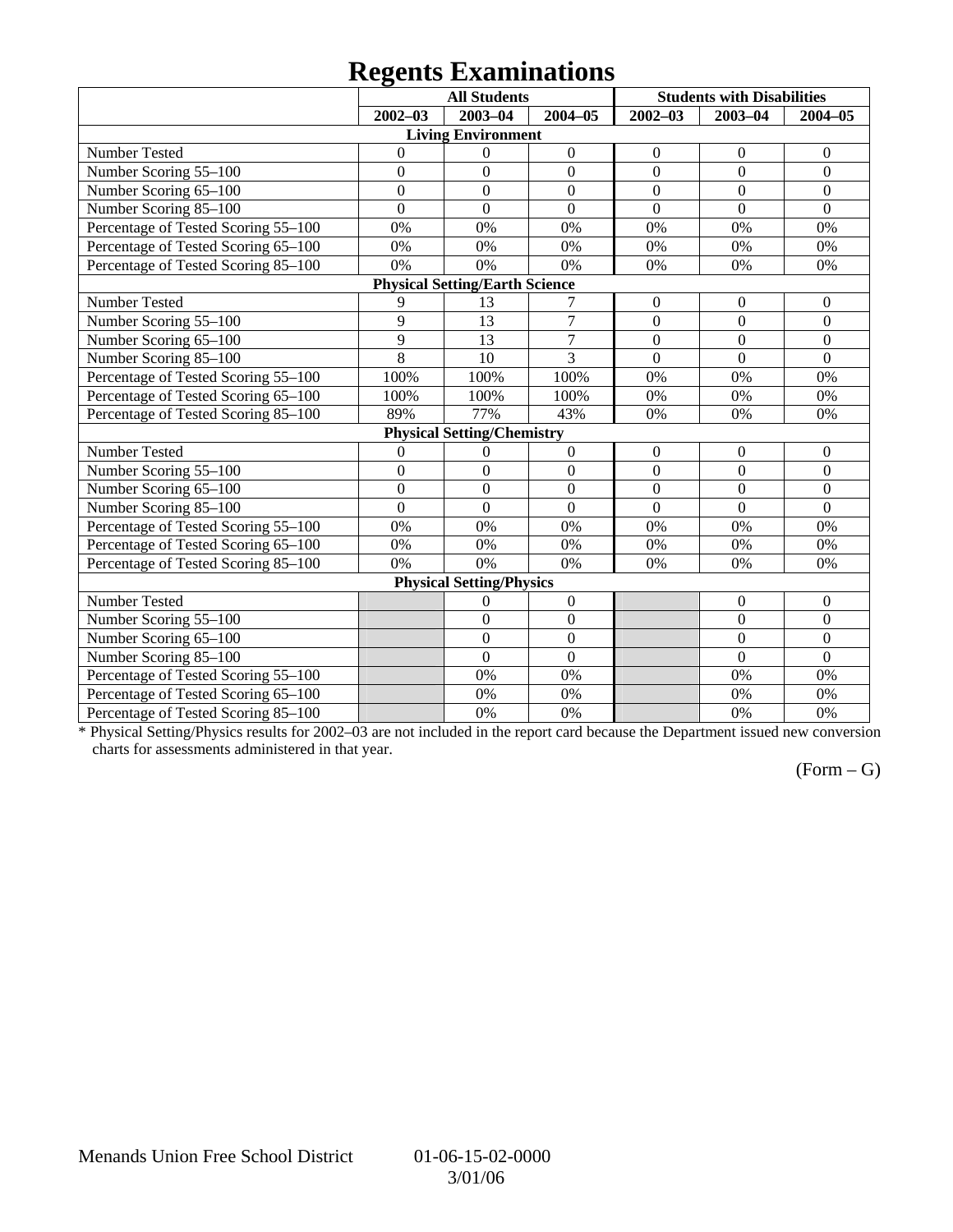## **Regents Examinations**

|                                       |                | <b>All Students</b>               |                  |                  | <b>Students with Disabilities</b> |                  |  |  |  |  |
|---------------------------------------|----------------|-----------------------------------|------------------|------------------|-----------------------------------|------------------|--|--|--|--|
|                                       | $2002 - 03$    | 2003-04                           | $2004 - 05$      | $2002 - 03$      | $2003 - 04$                       | $2004 - 05$      |  |  |  |  |
|                                       |                | <b>Living Environment</b>         |                  |                  |                                   |                  |  |  |  |  |
| Number Tested                         | $\mathbf{0}$   | $\theta$                          | $\boldsymbol{0}$ | $\boldsymbol{0}$ | $\mathbf{0}$                      | $\overline{0}$   |  |  |  |  |
| Number Scoring 55-100                 | $\overline{0}$ | $\overline{0}$                    | $\overline{0}$   | $\overline{0}$   | $\overline{0}$                    | $\overline{0}$   |  |  |  |  |
| Number Scoring 65-100                 | $\overline{0}$ | $\mathbf{0}$                      | $\mathbf{0}$     | $\mathbf{0}$     | $\mathbf{0}$                      | $\boldsymbol{0}$ |  |  |  |  |
| Number Scoring 85-100                 | $\overline{0}$ | $\theta$                          | $\overline{0}$   | $\Omega$         | $\overline{0}$                    | $\overline{0}$   |  |  |  |  |
| Percentage of Tested Scoring 55-100   | 0%             | 0%                                | 0%               | 0%               | 0%                                | 0%               |  |  |  |  |
| Percentage of Tested Scoring 65-100   | 0%             | 0%                                | 0%               | 0%               | 0%                                | 0%               |  |  |  |  |
| Percentage of Tested Scoring 85-100   | 0%             | 0%                                | 0%               | 0%               | 0%                                | 0%               |  |  |  |  |
| <b>Physical Setting/Earth Science</b> |                |                                   |                  |                  |                                   |                  |  |  |  |  |
| Number Tested                         | 9              | 13                                | 7                | $\boldsymbol{0}$ | $\overline{0}$                    | $\overline{0}$   |  |  |  |  |
| Number Scoring 55-100                 | 9              | 13                                | $\overline{7}$   | $\mathbf{0}$     | $\overline{0}$                    | $\overline{0}$   |  |  |  |  |
| Number Scoring 65-100                 | 9              | 13                                | $\tau$           | $\mathbf{0}$     | $\overline{0}$                    | $\boldsymbol{0}$ |  |  |  |  |
| Number Scoring 85-100                 | 8              | 10                                | 3                | $\mathbf{0}$     | $\mathbf{0}$                      | $\mathbf{0}$     |  |  |  |  |
| Percentage of Tested Scoring 55-100   | 100%           | 100%                              | 100%             | 0%               | 0%                                | 0%               |  |  |  |  |
| Percentage of Tested Scoring 65-100   | 100%           | 100%                              | 100%             | 0%               | 0%                                | 0%               |  |  |  |  |
| Percentage of Tested Scoring 85-100   | 89%            | 77%                               | 43%              | 0%               | 0%                                | 0%               |  |  |  |  |
|                                       |                | <b>Physical Setting/Chemistry</b> |                  |                  |                                   |                  |  |  |  |  |
| Number Tested                         | $\theta$       | $\theta$                          | $\mathbf{0}$     | $\mathbf{0}$     | $\mathbf{0}$                      | $\overline{0}$   |  |  |  |  |
| Number Scoring 55-100                 | $\overline{0}$ | $\overline{0}$                    | $\overline{0}$   | $\overline{0}$   | $\overline{0}$                    | $\overline{0}$   |  |  |  |  |
| Number Scoring 65-100                 | $\overline{0}$ | $\overline{0}$                    | $\overline{0}$   | $\overline{0}$   | $\overline{0}$                    | $\mathbf{0}$     |  |  |  |  |
| Number Scoring 85-100                 | $\overline{0}$ | $\theta$                          | $\overline{0}$   | $\overline{0}$   | $\overline{0}$                    | $\mathbf{0}$     |  |  |  |  |
| Percentage of Tested Scoring 55-100   | 0%             | 0%                                | 0%               | 0%               | 0%                                | 0%               |  |  |  |  |
| Percentage of Tested Scoring 65-100   | 0%             | 0%                                | 0%               | 0%               | 0%                                | 0%               |  |  |  |  |
| Percentage of Tested Scoring 85-100   | 0%             | 0%                                | 0%               | 0%               | 0%                                | 0%               |  |  |  |  |
|                                       |                | <b>Physical Setting/Physics</b>   |                  |                  |                                   |                  |  |  |  |  |
| Number Tested                         |                | 0                                 | $\boldsymbol{0}$ |                  | $\boldsymbol{0}$                  | $\overline{0}$   |  |  |  |  |
| Number Scoring 55-100                 |                | $\mathbf{0}$                      | $\boldsymbol{0}$ |                  | $\overline{0}$                    | $\boldsymbol{0}$ |  |  |  |  |
| Number Scoring 65-100                 |                | $\overline{0}$                    | $\mathbf{0}$     |                  | $\overline{0}$                    | $\overline{0}$   |  |  |  |  |
| Number Scoring 85-100                 |                | $\overline{0}$                    | $\boldsymbol{0}$ |                  | $\overline{0}$                    | $\mathbf{0}$     |  |  |  |  |
| Percentage of Tested Scoring 55-100   |                | 0%                                | 0%               |                  | 0%                                | 0%               |  |  |  |  |
| Percentage of Tested Scoring 65-100   |                | 0%                                | 0%               |                  | 0%                                | 0%               |  |  |  |  |
| Percentage of Tested Scoring 85-100   |                | 0%                                | 0%               |                  | 0%                                | 0%               |  |  |  |  |

\* Physical Setting/Physics results for 2002–03 are not included in the report card because the Department issued new conversion charts for assessments administered in that year.

### $(Form - G)$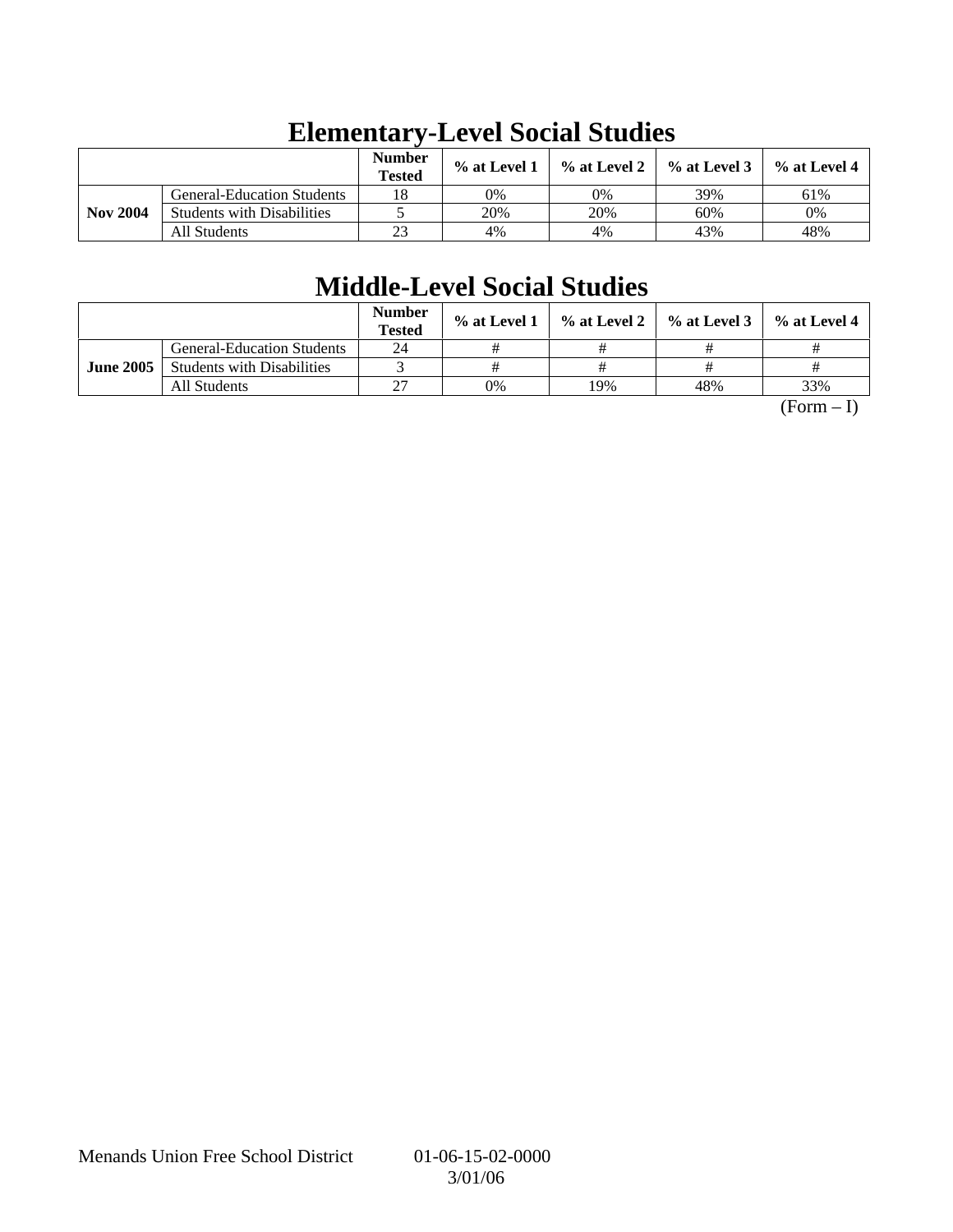|                 |                                   | <b>Number</b><br><b>Tested</b> | % at Level 1 | % at Level 2 | $%$ at Level 3 | $%$ at Level 4 |
|-----------------|-----------------------------------|--------------------------------|--------------|--------------|----------------|----------------|
|                 | <b>General-Education Students</b> | 18                             | 0%           | 0%           | 39%            | 61%            |
| <b>Nov 2004</b> | <b>Students with Disabilities</b> |                                | 20%          | 20%          | 60%            | 0%             |
|                 | All Students                      | 23                             | 4%           | 4%           | 43%            | 48%            |

# **Elementary-Level Social Studies**

# **Middle-Level Social Studies**

|                  |                                   | <b>Number</b><br><b>Tested</b> | $\%$ at Level 1 |     | $\%$ at Level 2 $\%$ at Level 3 $\parallel$ | $%$ at Level 4 |
|------------------|-----------------------------------|--------------------------------|-----------------|-----|---------------------------------------------|----------------|
|                  | <b>General-Education Students</b> | 24                             |                 |     |                                             |                |
| <b>June 2005</b> | <b>Students with Disabilities</b> |                                |                 |     |                                             |                |
|                  | All Students                      | רר                             | 0%              | 19% | 48%                                         | 33%            |

 $(Form - I)$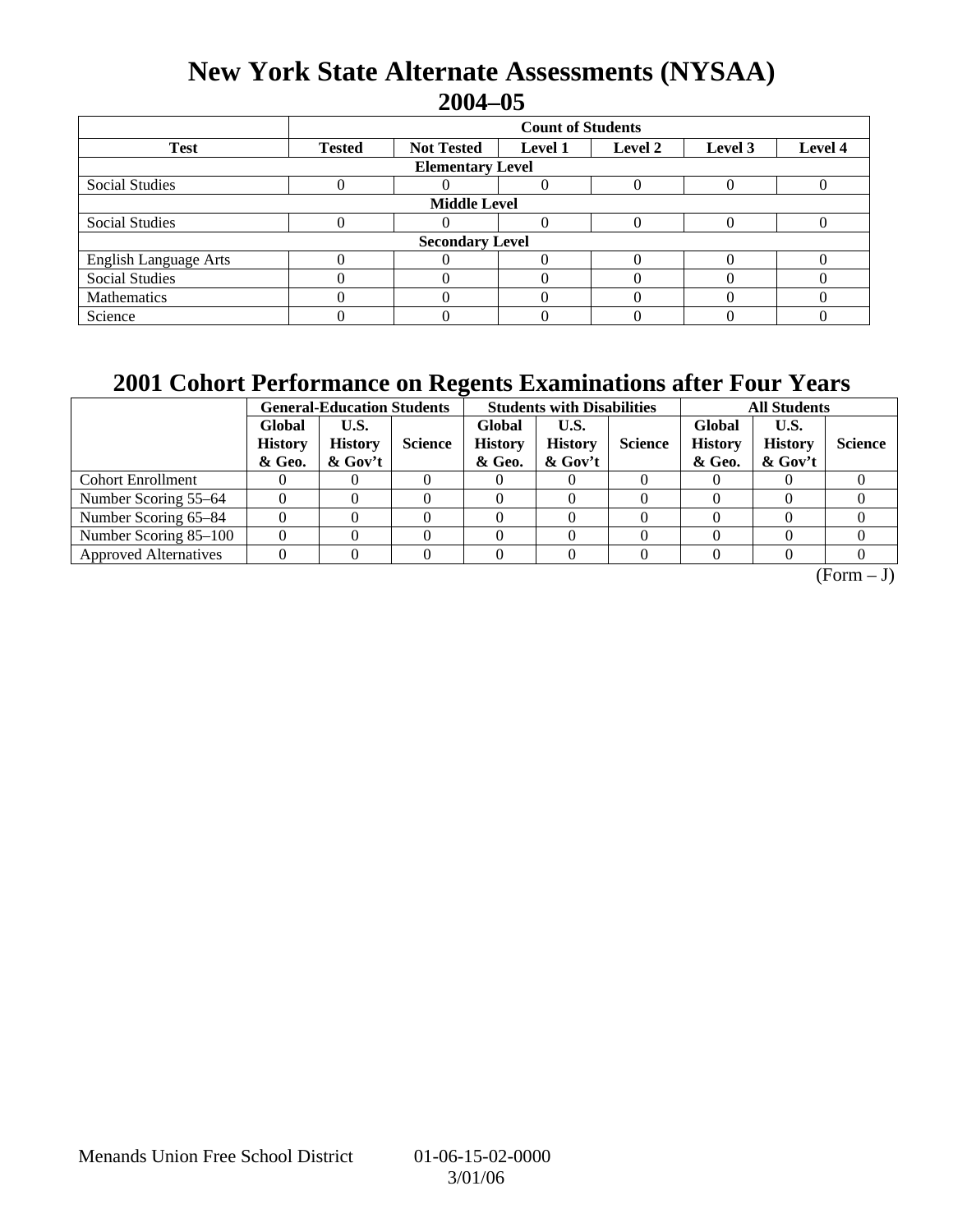## **New York State Alternate Assessments (NYSAA) 2004–05**

|                              | <b>Count of Students</b>                                                              |                        |  |  |  |  |  |  |  |  |
|------------------------------|---------------------------------------------------------------------------------------|------------------------|--|--|--|--|--|--|--|--|
| <b>Test</b>                  | Level 4<br><b>Tested</b><br><b>Not Tested</b><br>Level 2<br><b>Level 1</b><br>Level 3 |                        |  |  |  |  |  |  |  |  |
| <b>Elementary Level</b>      |                                                                                       |                        |  |  |  |  |  |  |  |  |
| <b>Social Studies</b>        |                                                                                       |                        |  |  |  |  |  |  |  |  |
| <b>Middle Level</b>          |                                                                                       |                        |  |  |  |  |  |  |  |  |
| <b>Social Studies</b>        |                                                                                       |                        |  |  |  |  |  |  |  |  |
|                              |                                                                                       | <b>Secondary Level</b> |  |  |  |  |  |  |  |  |
| <b>English Language Arts</b> |                                                                                       |                        |  |  |  |  |  |  |  |  |
| <b>Social Studies</b>        |                                                                                       |                        |  |  |  |  |  |  |  |  |
| Mathematics                  |                                                                                       |                        |  |  |  |  |  |  |  |  |
| Science                      |                                                                                       |                        |  |  |  |  |  |  |  |  |

## **2001 Cohort Performance on Regents Examinations after Four Years**

|                              | <b>General-Education Students</b>  |                                      |                |                                    | <b>Students with Disabilities</b>    |                | <b>All Students</b>                |                                      |                |
|------------------------------|------------------------------------|--------------------------------------|----------------|------------------------------------|--------------------------------------|----------------|------------------------------------|--------------------------------------|----------------|
|                              | Global<br><b>History</b><br>& Geo. | U.S.<br><b>History</b><br>$\&$ Gov't | <b>Science</b> | Global<br><b>History</b><br>& Geo. | U.S.<br><b>History</b><br>$\&$ Gov't | <b>Science</b> | Global<br><b>History</b><br>& Geo. | U.S.<br><b>History</b><br>$\&$ Gov't | <b>Science</b> |
| <b>Cohort Enrollment</b>     |                                    |                                      |                |                                    |                                      |                |                                    |                                      |                |
| Number Scoring 55–64         |                                    |                                      |                |                                    |                                      |                |                                    |                                      |                |
| Number Scoring 65-84         |                                    |                                      |                |                                    |                                      |                |                                    |                                      |                |
| Number Scoring 85-100        |                                    |                                      |                |                                    |                                      |                |                                    |                                      |                |
| <b>Approved Alternatives</b> |                                    |                                      |                |                                    |                                      |                |                                    |                                      |                |

 $\overline{(Form - J)}$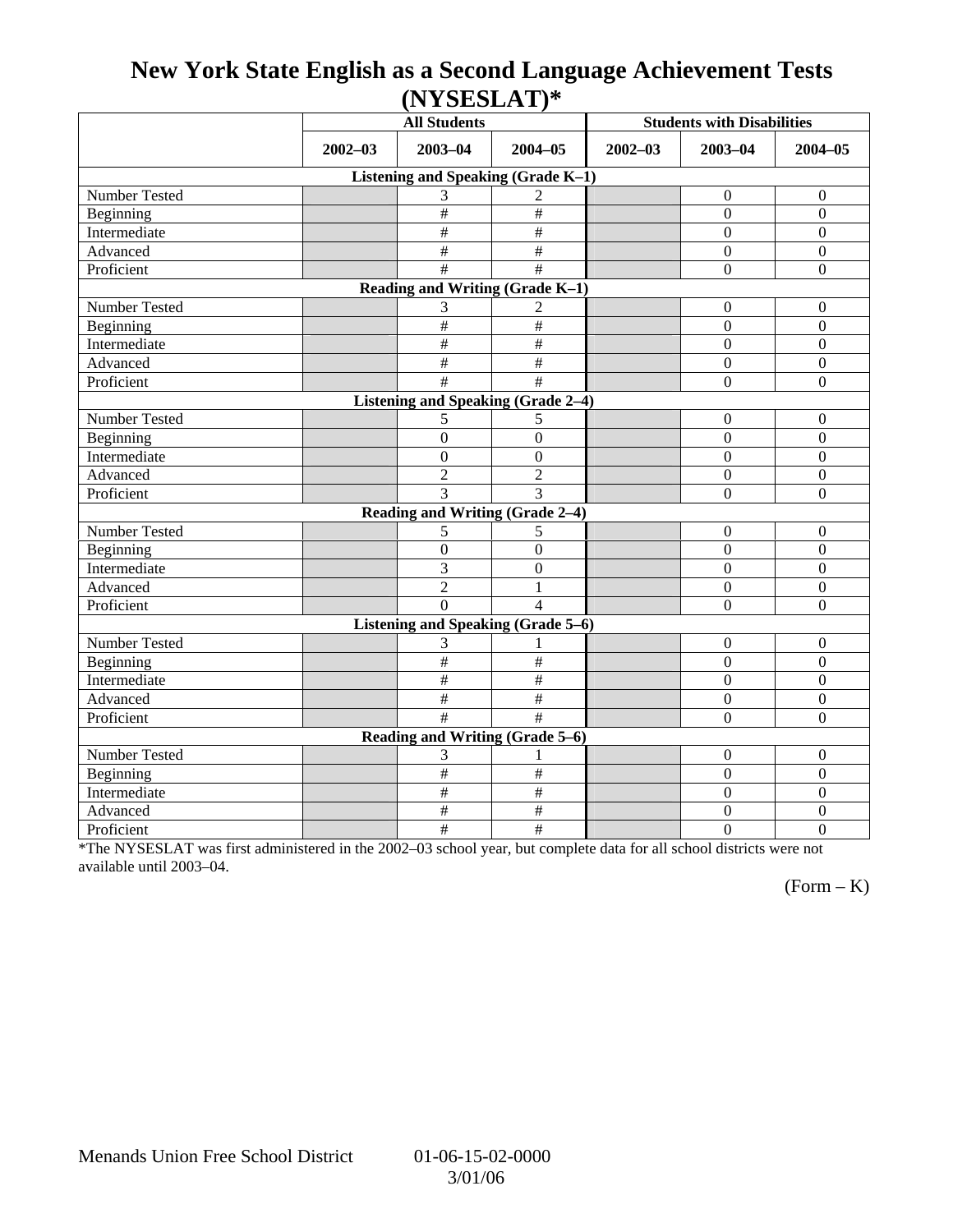## **New York State English as a Second Language Achievement Tests (NYSESLAT)\***

|                                           |             | <b>All Students</b>                |                           |             | <b>Students with Disabilities</b> |                  |  |  |  |
|-------------------------------------------|-------------|------------------------------------|---------------------------|-------------|-----------------------------------|------------------|--|--|--|
|                                           | $2002 - 03$ | $2003 - 04$                        | $2004 - 05$               | $2002 - 03$ | $2003 - 04$                       | $2004 - 05$      |  |  |  |
|                                           |             | Listening and Speaking (Grade K-1) |                           |             |                                   |                  |  |  |  |
| Number Tested                             |             | 3                                  | $\overline{2}$            |             | $\mathbf{0}$                      | $\boldsymbol{0}$ |  |  |  |
| Beginning                                 |             | #                                  | $\overline{\overline{t}}$ |             | $\theta$                          | $\boldsymbol{0}$ |  |  |  |
| Intermediate                              |             | #                                  | #                         |             | $\Omega$                          | $\mathbf{0}$     |  |  |  |
| Advanced                                  |             | $\#$                               | $\#$                      |             | $\Omega$                          | $\boldsymbol{0}$ |  |  |  |
| Proficient                                |             | #                                  | #                         |             | $\overline{0}$                    | $\boldsymbol{0}$ |  |  |  |
|                                           |             | Reading and Writing (Grade K-1)    |                           |             |                                   |                  |  |  |  |
| Number Tested                             |             | 3                                  | 2                         |             | $\Omega$                          | $\mathbf{0}$     |  |  |  |
| Beginning                                 |             | $\#$                               | $\#$                      |             | $\boldsymbol{0}$                  | $\boldsymbol{0}$ |  |  |  |
| Intermediate                              |             | $\#$                               | $\frac{1}{2}$             |             | $\overline{0}$                    | $\mathbf{0}$     |  |  |  |
| Advanced                                  |             | #                                  | $\overline{\#}$           |             | $\theta$                          | $\overline{0}$   |  |  |  |
| Proficient                                |             | #                                  | #                         |             | $\overline{0}$                    | $\boldsymbol{0}$ |  |  |  |
| <b>Listening and Speaking (Grade 2-4)</b> |             |                                    |                           |             |                                   |                  |  |  |  |
| Number Tested                             |             | 5                                  | 5                         |             | $\boldsymbol{0}$                  | $\boldsymbol{0}$ |  |  |  |
| Beginning                                 |             | $\boldsymbol{0}$                   | $\overline{0}$            |             | $\overline{0}$                    | $\boldsymbol{0}$ |  |  |  |
| Intermediate                              |             | $\boldsymbol{0}$                   | $\boldsymbol{0}$          |             | $\mathbf{0}$                      | $\boldsymbol{0}$ |  |  |  |
| Advanced                                  |             | $\overline{2}$                     | $\overline{2}$            |             | $\Omega$                          | $\boldsymbol{0}$ |  |  |  |
| Proficient                                |             | 3                                  | 3                         |             | $\overline{0}$                    | $\mathbf{0}$     |  |  |  |
|                                           |             | Reading and Writing (Grade 2-4)    |                           |             |                                   |                  |  |  |  |
| Number Tested                             |             | 5                                  | 5                         |             | $\boldsymbol{0}$                  | $\boldsymbol{0}$ |  |  |  |
| Beginning                                 |             | $\boldsymbol{0}$                   | $\mathbf{0}$              |             | $\boldsymbol{0}$                  | $\mathbf{0}$     |  |  |  |
| Intermediate                              |             | $\overline{3}$                     | $\overline{0}$            |             | $\overline{0}$                    | $\overline{0}$   |  |  |  |
| Advanced                                  |             | $\overline{2}$                     | 1                         |             | $\boldsymbol{0}$                  | $\boldsymbol{0}$ |  |  |  |
| Proficient                                |             | $\Omega$                           | $\overline{4}$            |             | $\theta$                          | $\overline{0}$   |  |  |  |
|                                           |             | Listening and Speaking (Grade 5-6) |                           |             |                                   |                  |  |  |  |
| Number Tested                             |             | 3                                  |                           |             | $\boldsymbol{0}$                  | $\boldsymbol{0}$ |  |  |  |
| Beginning                                 |             | #                                  | $\#$                      |             | $\Omega$                          | $\boldsymbol{0}$ |  |  |  |
| Intermediate                              |             | #                                  | $\#$                      |             | $\Omega$                          | $\boldsymbol{0}$ |  |  |  |
| Advanced                                  |             | #                                  | $\#$                      |             | $\boldsymbol{0}$                  | $\boldsymbol{0}$ |  |  |  |
| Proficient                                |             | $\overline{\ddot{}}$               | $\overline{\ddot{x}}$     |             | $\Omega$                          | $\boldsymbol{0}$ |  |  |  |
|                                           |             | Reading and Writing (Grade 5–6)    |                           |             |                                   |                  |  |  |  |
| Number Tested                             |             | 3                                  |                           |             | $\mathbf{0}$                      | $\overline{0}$   |  |  |  |
| Beginning                                 |             | #                                  | $\#$                      |             | $\overline{0}$                    | $\mathbf{0}$     |  |  |  |
| Intermediate                              |             | $\#$                               | $\#$                      |             | $\overline{0}$                    | $\boldsymbol{0}$ |  |  |  |
| Advanced                                  |             | #                                  | $\#$                      |             | $\boldsymbol{0}$                  | $\boldsymbol{0}$ |  |  |  |
| Proficient                                |             | $\#$                               | $\#$                      |             | $\overline{0}$                    | $\overline{0}$   |  |  |  |

\*The NYSESLAT was first administered in the 2002–03 school year, but complete data for all school districts were not available until 2003–04.

 $(Form - K)$